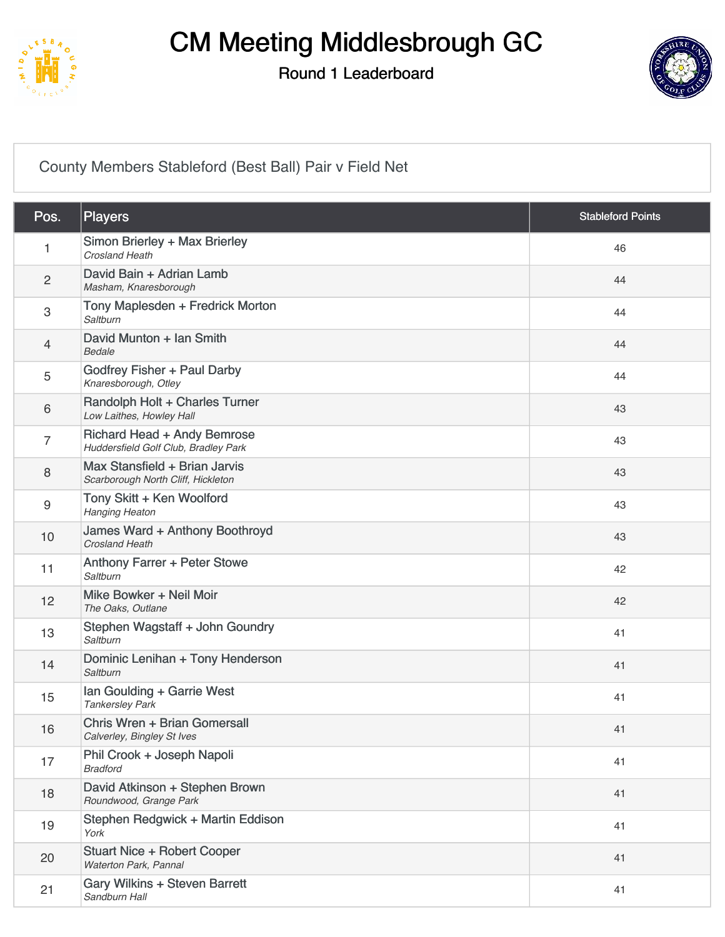

#### Round 1 Leaderboard



#### [County Members Stableford \(Best Ball\) Pair v Field Net](https://static.golfgenius.com/v2tournaments/8038676744833629052?called_from=&round_index=1)

| Pos.                      | <b>Players</b>                                                      | <b>Stableford Points</b> |
|---------------------------|---------------------------------------------------------------------|--------------------------|
| 1                         | Simon Brierley + Max Brierley<br>Crosland Heath                     | 46                       |
| $\sqrt{2}$                | David Bain + Adrian Lamb<br>Masham, Knaresborough                   | 44                       |
| $\ensuremath{\mathsf{3}}$ | Tony Maplesden + Fredrick Morton<br>Saltburn                        | 44                       |
| $\overline{4}$            | David Munton + Ian Smith<br><b>Bedale</b>                           | 44                       |
| 5                         | Godfrey Fisher + Paul Darby<br>Knaresborough, Otley                 | 44                       |
| 6                         | Randolph Holt + Charles Turner<br>Low Laithes, Howley Hall          | 43                       |
| $\overline{7}$            | Richard Head + Andy Bemrose<br>Huddersfield Golf Club, Bradley Park | 43                       |
| 8                         | Max Stansfield + Brian Jarvis<br>Scarborough North Cliff, Hickleton | 43                       |
| $\boldsymbol{9}$          | Tony Skitt + Ken Woolford<br><b>Hanging Heaton</b>                  | 43                       |
| 10                        | James Ward + Anthony Boothroyd<br><b>Crosland Heath</b>             | 43                       |
| 11                        | Anthony Farrer + Peter Stowe<br>Saltburn                            | 42                       |
| 12                        | Mike Bowker + Neil Moir<br>The Oaks, Outlane                        | 42                       |
| 13                        | Stephen Wagstaff + John Goundry<br>Saltburn                         | 41                       |
| 14                        | Dominic Lenihan + Tony Henderson<br>Saltburn                        | 41                       |
| 15                        | Ian Goulding + Garrie West<br><b>Tankersley Park</b>                | 41                       |
| 16                        | Chris Wren + Brian Gomersall<br>Calverley, Bingley St Ives          | 41                       |
| 17                        | Phil Crook + Joseph Napoli<br><b>Bradford</b>                       | 41                       |
| 18                        | David Atkinson + Stephen Brown<br>Roundwood, Grange Park            | 41                       |
| 19                        | Stephen Redgwick + Martin Eddison<br>York                           | 41                       |
| 20                        | <b>Stuart Nice + Robert Cooper</b><br>Waterton Park, Pannal         | 41                       |
| 21                        | <b>Gary Wilkins + Steven Barrett</b><br>Sandburn Hall               | 41                       |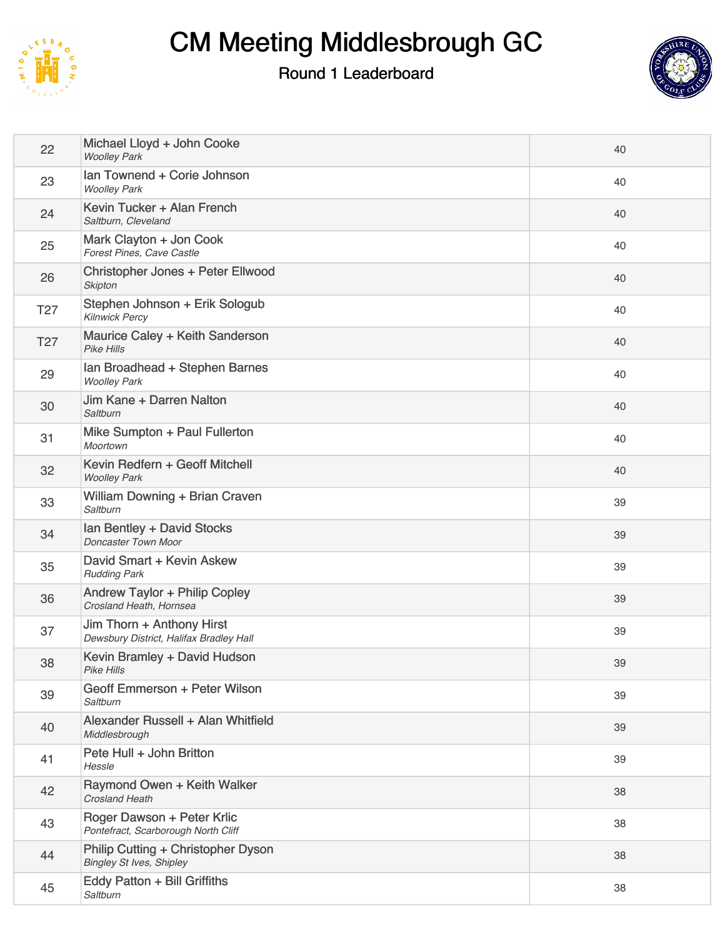

### Round 1 Leaderboard



| 22              | Michael Lloyd + John Cooke<br><b>Woolley Park</b>                     | 40 |
|-----------------|-----------------------------------------------------------------------|----|
| 23              | Ian Townend + Corie Johnson<br><b>Woolley Park</b>                    | 40 |
| 24              | Kevin Tucker + Alan French<br>Saltburn, Cleveland                     | 40 |
| 25              | Mark Clayton + Jon Cook<br>Forest Pines, Cave Castle                  | 40 |
| 26              | Christopher Jones + Peter Ellwood<br><b>Skipton</b>                   | 40 |
| T <sub>27</sub> | Stephen Johnson + Erik Sologub<br><b>Kilnwick Percy</b>               | 40 |
| T <sub>27</sub> | Maurice Caley + Keith Sanderson<br><b>Pike Hills</b>                  | 40 |
| 29              | Ian Broadhead + Stephen Barnes<br><b>Woolley Park</b>                 | 40 |
| 30              | Jim Kane + Darren Nalton<br>Saltburn                                  | 40 |
| 31              | Mike Sumpton + Paul Fullerton<br>Moortown                             | 40 |
| 32              | Kevin Redfern + Geoff Mitchell<br><b>Woolley Park</b>                 | 40 |
| 33              | William Downing + Brian Craven<br>Saltburn                            | 39 |
| 34              | Ian Bentley + David Stocks<br>Doncaster Town Moor                     | 39 |
| 35              | David Smart + Kevin Askew<br><b>Rudding Park</b>                      | 39 |
| 36              | Andrew Taylor + Philip Copley<br>Crosland Heath, Hornsea              | 39 |
| 37              | Jim Thorn + Anthony Hirst<br>Dewsbury District, Halifax Bradley Hall  | 39 |
| 38              | Kevin Bramley + David Hudson<br><b>Pike Hills</b>                     | 39 |
| 39              | Geoff Emmerson + Peter Wilson<br>Saltburn                             | 39 |
| 40              | Alexander Russell + Alan Whitfield<br>Middlesbrough                   | 39 |
| 41              | Pete Hull + John Britton<br>Hessle                                    | 39 |
| 42              | Raymond Owen + Keith Walker<br>Crosland Heath                         | 38 |
| 43              | Roger Dawson + Peter Krlic<br>Pontefract, Scarborough North Cliff     | 38 |
| 44              | Philip Cutting + Christopher Dyson<br><b>Bingley St Ives, Shipley</b> | 38 |
| 45              | Eddy Patton + Bill Griffiths<br>Saltburn                              | 38 |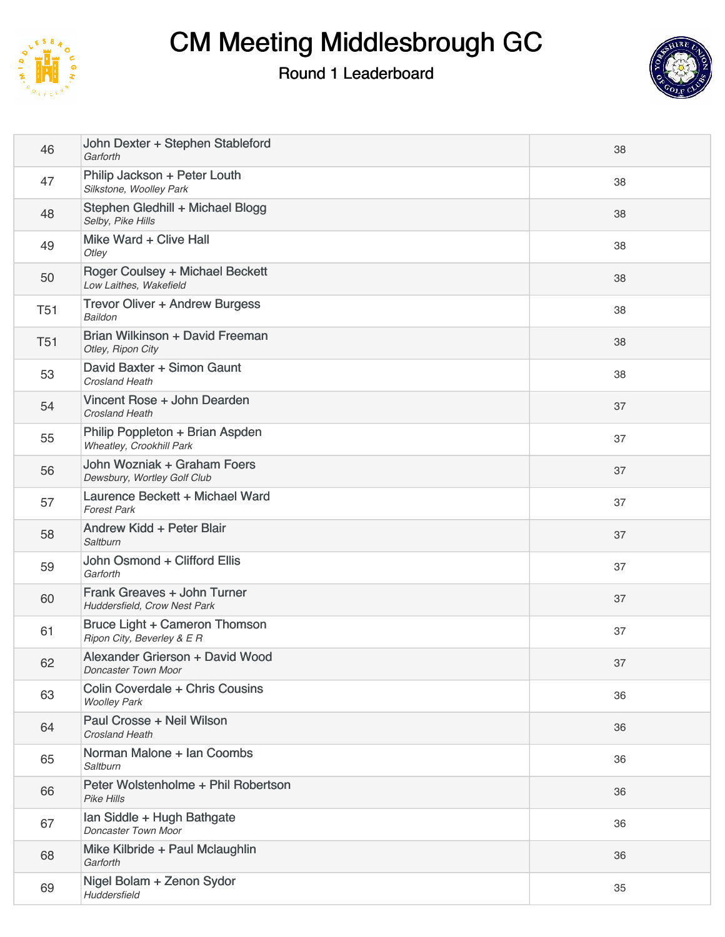

#### Round 1 Leaderboard



| 46         | John Dexter + Stephen Stableford<br>Garforth                | 38 |
|------------|-------------------------------------------------------------|----|
| 47         | Philip Jackson + Peter Louth<br>Silkstone, Woolley Park     | 38 |
| 48         | Stephen Gledhill + Michael Blogg<br>Selby, Pike Hills       | 38 |
| 49         | Mike Ward + Clive Hall<br>Otley                             | 38 |
| 50         | Roger Coulsey + Michael Beckett<br>Low Laithes, Wakefield   | 38 |
| <b>T51</b> | <b>Trevor Oliver + Andrew Burgess</b><br><b>Baildon</b>     | 38 |
| <b>T51</b> | Brian Wilkinson + David Freeman<br>Otley, Ripon City        | 38 |
| 53         | David Baxter + Simon Gaunt<br><b>Crosland Heath</b>         | 38 |
| 54         | Vincent Rose + John Dearden<br><b>Crosland Heath</b>        | 37 |
| 55         | Philip Poppleton + Brian Aspden<br>Wheatley, Crookhill Park | 37 |
| 56         | John Wozniak + Graham Foers<br>Dewsbury, Wortley Golf Club  | 37 |
| 57         | Laurence Beckett + Michael Ward<br><b>Forest Park</b>       | 37 |
| 58         | Andrew Kidd + Peter Blair<br>Saltburn                       | 37 |
| 59         | John Osmond + Clifford Ellis<br>Garforth                    | 37 |
| 60         | Frank Greaves + John Turner<br>Huddersfield, Crow Nest Park | 37 |
| 61         | Bruce Light + Cameron Thomson<br>Ripon City, Beverley & E R | 37 |
| 62         | Alexander Grierson + David Wood<br>Doncaster Town Moor      | 37 |
| 63         | Colin Coverdale + Chris Cousins<br><b>Woolley Park</b>      | 36 |
| 64         | Paul Crosse + Neil Wilson<br>Crosland Heath                 | 36 |
| 65         | Norman Malone + Ian Coombs<br>Saltburn                      | 36 |
| 66         | Peter Wolstenholme + Phil Robertson<br><b>Pike Hills</b>    | 36 |
| 67         | Ian Siddle + Hugh Bathgate<br>Doncaster Town Moor           | 36 |
| 68         | Mike Kilbride + Paul Mclaughlin<br>Garforth                 | 36 |
| 69         | Nigel Bolam + Zenon Sydor<br><b>Huddersfield</b>            | 35 |